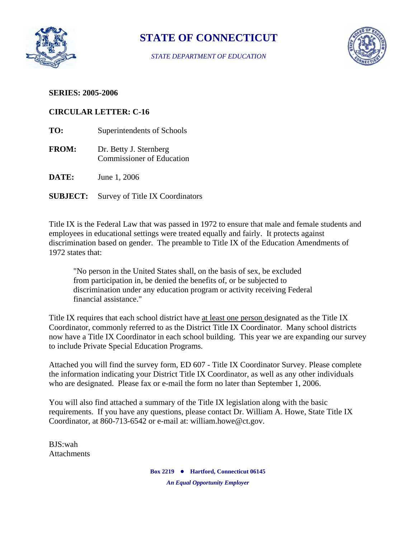

# **STATE OF CONNECTICUT**

*STATE DEPARTMENT OF EDUCATION*



### **SERIES: 2005-2006**

# **CIRCULAR LETTER: C-16**

**TO:** Superintendents of Schools **FROM:** Dr. Betty J. Sternberg Commissioner of Education

**DATE:** June 1, 2006

**SUBJECT:** Survey of Title IX Coordinators

Title IX is the Federal Law that was passed in 1972 to ensure that male and female students and employees in educational settings were treated equally and fairly. It protects against discrimination based on gender. The preamble to Title IX of the Education Amendments of 1972 states that:

"No person in the United States shall, on the basis of sex, be excluded from participation in, be denied the benefits of, or be subjected to discrimination under any education program or activity receiving Federal financial assistance."

Title IX requires that each school district have at least one person designated as the Title IX Coordinator, commonly referred to as the District Title IX Coordinator. Many school districts now have a Title IX Coordinator in each school building. This year we are expanding our survey to include Private Special Education Programs.

Attached you will find the survey form, ED 607 - Title IX Coordinator Survey. Please complete the information indicating your District Title IX Coordinator, as well as any other individuals who are designated. Please fax or e-mail the form no later than September 1, 2006.

You will also find attached a summary of the Title IX legislation along with the basic requirements. If you have any questions, please contact Dr. William A. Howe, State Title IX Coordinator, at 860-713-6542 or e-mail at: william.howe@ct.gov.

BJS:wah **Attachments** 

> **Box 2219** • **Hartford, Connecticut 06145**  *An Equal Opportunity Employer*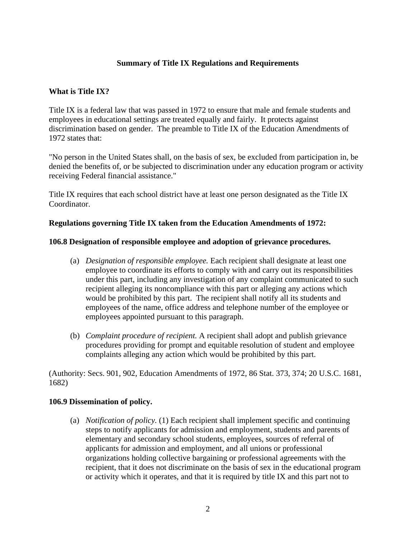### **Summary of Title IX Regulations and Requirements**

# **What is Title IX?**

Title IX is a federal law that was passed in 1972 to ensure that male and female students and employees in educational settings are treated equally and fairly. It protects against discrimination based on gender. The preamble to Title IX of the Education Amendments of 1972 states that:

"No person in the United States shall, on the basis of sex, be excluded from participation in, be denied the benefits of, or be subjected to discrimination under any education program or activity receiving Federal financial assistance."

Title IX requires that each school district have at least one person designated as the Title IX Coordinator.

### **Regulations governing Title IX taken from the Education Amendments of 1972:**

#### **106.8 Designation of responsible employee and adoption of grievance procedures.**

- (a) *Designation of responsible employee.* Each recipient shall designate at least one employee to coordinate its efforts to comply with and carry out its responsibilities under this part, including any investigation of any complaint communicated to such recipient alleging its noncompliance with this part or alleging any actions which would be prohibited by this part. The recipient shall notify all its students and employees of the name, office address and telephone number of the employee or employees appointed pursuant to this paragraph.
- (b) *Complaint procedure of recipient.* A recipient shall adopt and publish grievance procedures providing for prompt and equitable resolution of student and employee complaints alleging any action which would be prohibited by this part.

(Authority: Secs. 901, 902, Education Amendments of 1972, 86 Stat. 373, 374; 20 U.S.C. 1681, 1682)

### **106.9 Dissemination of policy.**

(a) *Notification of policy.* (1) Each recipient shall implement specific and continuing steps to notify applicants for admission and employment, students and parents of elementary and secondary school students, employees, sources of referral of applicants for admission and employment, and all unions or professional organizations holding collective bargaining or professional agreements with the recipient, that it does not discriminate on the basis of sex in the educational program or activity which it operates, and that it is required by title IX and this part not to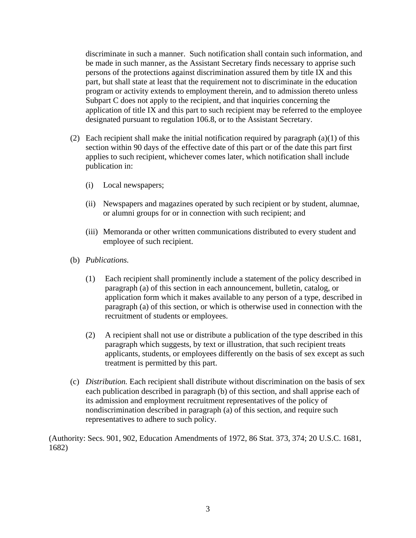discriminate in such a manner. Such notification shall contain such information, and be made in such manner, as the Assistant Secretary finds necessary to apprise such persons of the protections against discrimination assured them by title IX and this part, but shall state at least that the requirement not to discriminate in the education program or activity extends to employment therein, and to admission thereto unless Subpart C does not apply to the recipient, and that inquiries concerning the application of title IX and this part to such recipient may be referred to the employee designated pursuant to regulation 106.8, or to the Assistant Secretary.

- (2) Each recipient shall make the initial notification required by paragraph (a)(1) of this section within 90 days of the effective date of this part or of the date this part first applies to such recipient, whichever comes later, which notification shall include publication in:
	- (i) Local newspapers;
	- (ii) Newspapers and magazines operated by such recipient or by student, alumnae, or alumni groups for or in connection with such recipient; and
	- (iii) Memoranda or other written communications distributed to every student and employee of such recipient.
- (b) *Publications.*
	- (1) Each recipient shall prominently include a statement of the policy described in paragraph (a) of this section in each announcement, bulletin, catalog, or application form which it makes available to any person of a type, described in paragraph (a) of this section, or which is otherwise used in connection with the recruitment of students or employees.
	- (2) A recipient shall not use or distribute a publication of the type described in this paragraph which suggests, by text or illustration, that such recipient treats applicants, students, or employees differently on the basis of sex except as such treatment is permitted by this part.
- (c) *Distribution.* Each recipient shall distribute without discrimination on the basis of sex each publication described in paragraph (b) of this section, and shall apprise each of its admission and employment recruitment representatives of the policy of nondiscrimination described in paragraph (a) of this section, and require such representatives to adhere to such policy.

(Authority: Secs. 901, 902, Education Amendments of 1972, 86 Stat. 373, 374; 20 U.S.C. 1681, 1682)